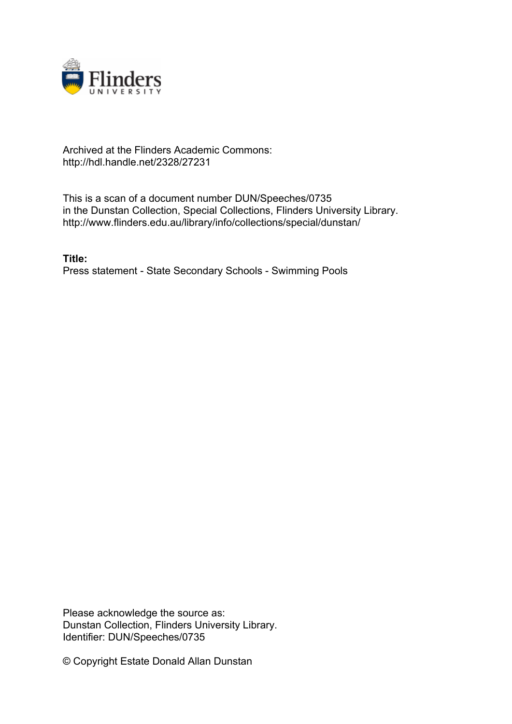

## Archived at the Flinders Academic Commons: http://hdl.handle.net/2328/27231

This is a scan of a document number DUN/Speeches/0735 in the Dunstan Collection, Special Collections, Flinders University Library. http://www.flinders.edu.au/library/info/collections/special/dunstan/

**Title:** Press statement - State Secondary Schools - Swimming Pools

Please acknowledge the source as: Dunstan Collection, Flinders University Library. Identifier: DUN/Speeches/0735

© Copyright Estate Donald Allan Dunstan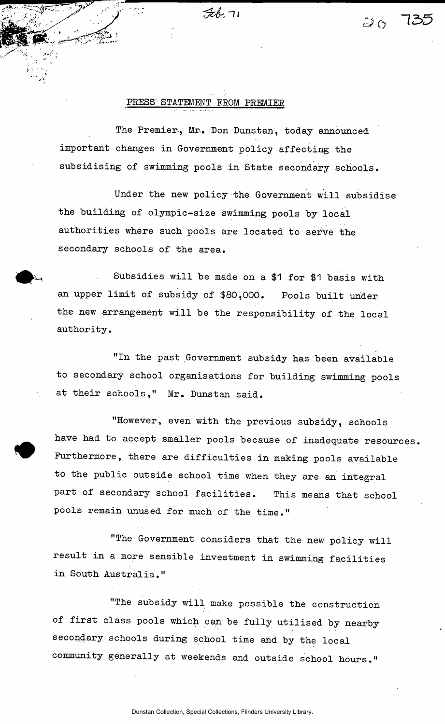$76.71$ 

## PRESS' STATEMENT FROM PREMIER

The Premier, Mr. Don Dunstan, today announced important changes in Government policy affecting the subsidising of swimming pools in State secondary schools.

Under the new policy the Government will subsidise the building of olympic-size swimming pools by local authorities where such pools are located to serve the secondary schools of the area.

Subsidies will be made on a \$1 for \$1 basis with an upper limit of subsidy of \$80,000. Pools built uhder the new arrangement will be the responsibility of the local authority.

"In the past Government subsidy has been available to secondary school organisations for building swimming pools at their schools," Mr. Dunstan said.

"However, even with the previous subsidy, schools have had to accept smaller pools because of inadequate resources. Furthermore, there are difficulties in making pools available to the public outside school time when they are an integral part of secondary school facilities. This means that school pools remain unused for much of the time."

"The Government considers that the new policy will result in a more sensible investment in swimming facilities in South Australia."

"The subsidy will make possible the construction of first class pools which can be fully utilised by nearby secondary schools during school time and by the local community generally at weekends and outside school hours."